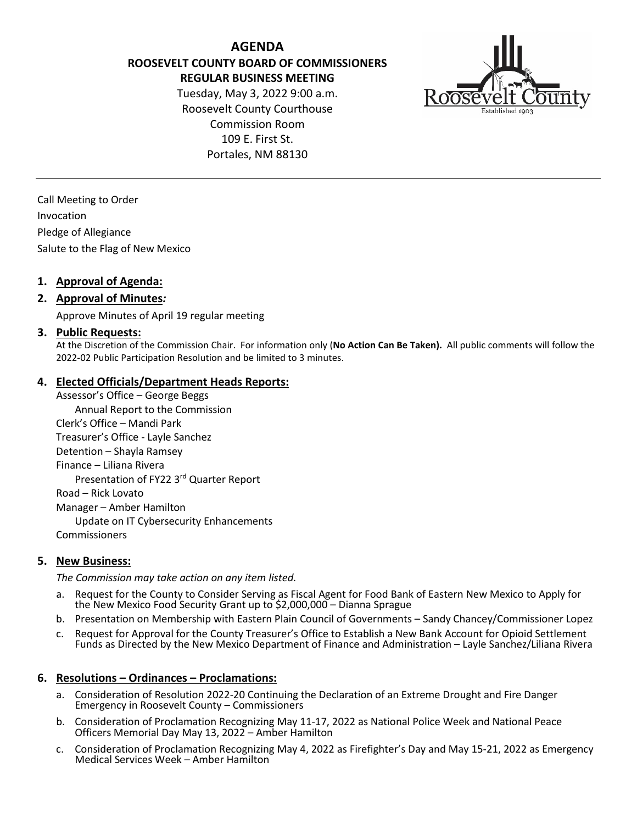**AGENDA ROOSEVELT COUNTY BOARD OF COMMISSIONERS REGULAR BUSINESS MEETING** Tuesday, May 3, 2022 9:00 a.m.

Roosevelt County Courthouse Commission Room 109 E. First St. Portales, NM 88130



Call Meeting to Order Invocation Pledge of Allegiance Salute to the Flag of New Mexico

## **1. Approval of Agenda:**

## **2. Approval of Minutes***:*

Approve Minutes of April 19 regular meeting

#### **3. Public Requests:**

At the Discretion of the Commission Chair. For information only (**No Action Can Be Taken).** All public comments will follow the 2022-02 Public Participation Resolution and be limited to 3 minutes.

## **4. Elected Officials/Department Heads Reports:**

Assessor's Office – George Beggs Annual Report to the Commission Clerk's Office – Mandi Park Treasurer's Office - Layle Sanchez Detention – Shayla Ramsey Finance – Liliana Rivera Presentation of FY22 3rd Quarter Report Road – Rick Lovato Manager – Amber Hamilton Update on IT Cybersecurity Enhancements Commissioners

#### **5. New Business:**

*The Commission may take action on any item listed.*

- a. Request for the County to Consider Serving as Fiscal Agent for Food Bank of Eastern New Mexico to Apply for the New Mexico Food Security Grant up to \$2,000,000 – Dianna Sprague
- b. Presentation on Membership with Eastern Plain Council of Governments Sandy Chancey/Commissioner Lopez
- c. Request for Approval for the County Treasurer's Office to Establish a New Bank Account for Opioid Settlement Funds as Directed by the New Mexico Department of Finance and Administration – Layle Sanchez/Liliana Rivera

#### **6. Resolutions – Ordinances – Proclamations:**

- a. Consideration of Resolution 2022-20 Continuing the Declaration of an Extreme Drought and Fire Danger Emergency in Roosevelt County – Commissioners
- b. Consideration of Proclamation Recognizing May 11-17, 2022 as National Police Week and National Peace Officers Memorial Day May 13, 2022 - Amber Hamilton
- c. Consideration of Proclamation Recognizing May 4, 2022 as Firefighter's Day and May 15-21, 2022 as Emergency Medical Services Week – Amber Hamilton